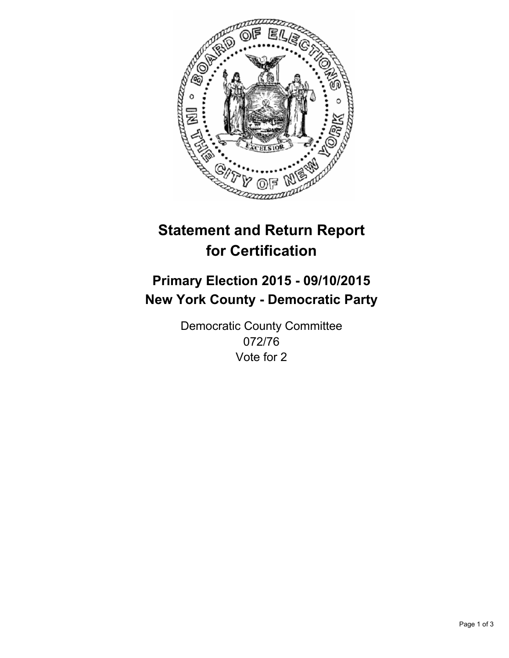

# **Statement and Return Report for Certification**

## **Primary Election 2015 - 09/10/2015 New York County - Democratic Party**

Democratic County Committee 072/76 Vote for 2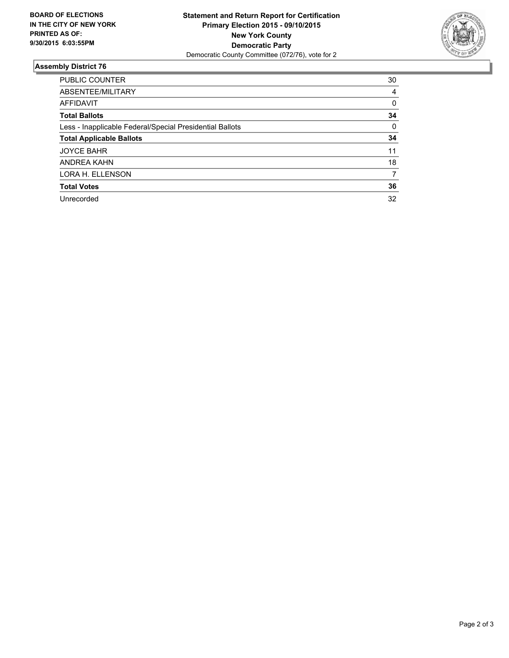

#### **Assembly District 76**

| <b>PUBLIC COUNTER</b>                                    | 30       |
|----------------------------------------------------------|----------|
| ABSENTEE/MILITARY                                        | 4        |
| <b>AFFIDAVIT</b>                                         | 0        |
| <b>Total Ballots</b>                                     | 34       |
| Less - Inapplicable Federal/Special Presidential Ballots | $\Omega$ |
| <b>Total Applicable Ballots</b>                          | 34       |
| <b>JOYCE BAHR</b>                                        | 11       |
| ANDREA KAHN                                              | 18       |
| LORA H. ELLENSON                                         | 7        |
| <b>Total Votes</b>                                       | 36       |
| Unrecorded                                               | 32       |